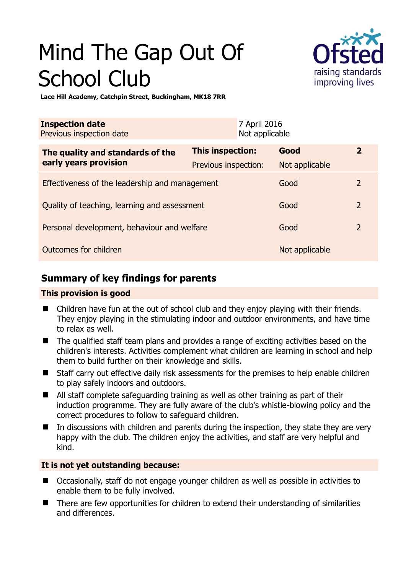# Mind The Gap Out Of School Club



**Lace Hill Academy, Catchpin Street, Buckingham, MK18 7RR** 

| <b>Inspection date</b><br>Previous inspection date        |                      | 7 April 2016<br>Not applicable |                |                         |
|-----------------------------------------------------------|----------------------|--------------------------------|----------------|-------------------------|
| The quality and standards of the<br>early years provision | This inspection:     |                                | Good           | $\overline{\mathbf{2}}$ |
|                                                           | Previous inspection: |                                | Not applicable |                         |
| Effectiveness of the leadership and management            |                      |                                | Good           | $\overline{2}$          |
| Quality of teaching, learning and assessment              |                      |                                | Good           | $\overline{2}$          |
| Personal development, behaviour and welfare               |                      |                                | Good           | $\overline{2}$          |
| Outcomes for children                                     |                      |                                | Not applicable |                         |

## **Summary of key findings for parents**

## **This provision is good**

- Children have fun at the out of school club and they enjoy playing with their friends. They enjoy playing in the stimulating indoor and outdoor environments, and have time to relax as well.
- The qualified staff team plans and provides a range of exciting activities based on the children's interests. Activities complement what children are learning in school and help them to build further on their knowledge and skills.
- Staff carry out effective daily risk assessments for the premises to help enable children to play safely indoors and outdoors.
- All staff complete safeguarding training as well as other training as part of their induction programme. They are fully aware of the club's whistle-blowing policy and the correct procedures to follow to safeguard children.
- $\blacksquare$  In discussions with children and parents during the inspection, they state they are very happy with the club. The children enjoy the activities, and staff are very helpful and kind.

## **It is not yet outstanding because:**

- Occasionally, staff do not engage younger children as well as possible in activities to enable them to be fully involved.
- There are few opportunities for children to extend their understanding of similarities and differences.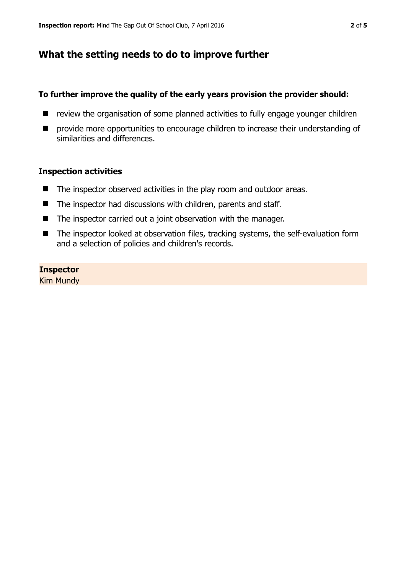## **What the setting needs to do to improve further**

#### **To further improve the quality of the early years provision the provider should:**

- $\blacksquare$  review the organisation of some planned activities to fully engage younger children
- **P** provide more opportunities to encourage children to increase their understanding of similarities and differences.

#### **Inspection activities**

- The inspector observed activities in the play room and outdoor areas.
- The inspector had discussions with children, parents and staff.
- The inspector carried out a joint observation with the manager.
- The inspector looked at observation files, tracking systems, the self-evaluation form and a selection of policies and children's records.

#### **Inspector**

Kim Mundy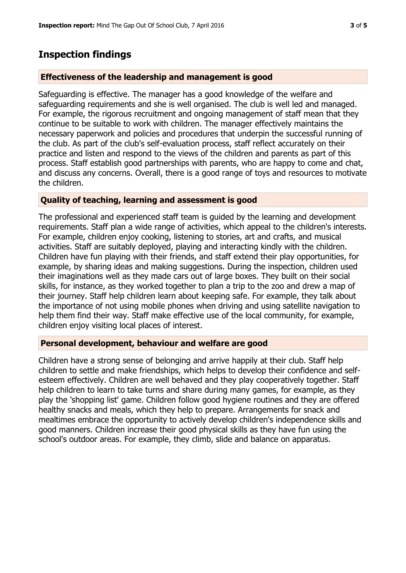## **Inspection findings**

#### **Effectiveness of the leadership and management is good**

Safeguarding is effective. The manager has a good knowledge of the welfare and safeguarding requirements and she is well organised. The club is well led and managed. For example, the rigorous recruitment and ongoing management of staff mean that they continue to be suitable to work with children. The manager effectively maintains the necessary paperwork and policies and procedures that underpin the successful running of the club. As part of the club's self-evaluation process, staff reflect accurately on their practice and listen and respond to the views of the children and parents as part of this process. Staff establish good partnerships with parents, who are happy to come and chat, and discuss any concerns. Overall, there is a good range of toys and resources to motivate the children.

#### **Quality of teaching, learning and assessment is good**

The professional and experienced staff team is guided by the learning and development requirements. Staff plan a wide range of activities, which appeal to the children's interests. For example, children enjoy cooking, listening to stories, art and crafts, and musical activities. Staff are suitably deployed, playing and interacting kindly with the children. Children have fun playing with their friends, and staff extend their play opportunities, for example, by sharing ideas and making suggestions. During the inspection, children used their imaginations well as they made cars out of large boxes. They built on their social skills, for instance, as they worked together to plan a trip to the zoo and drew a map of their journey. Staff help children learn about keeping safe. For example, they talk about the importance of not using mobile phones when driving and using satellite navigation to help them find their way. Staff make effective use of the local community, for example, children enjoy visiting local places of interest.

#### **Personal development, behaviour and welfare are good**

Children have a strong sense of belonging and arrive happily at their club. Staff help children to settle and make friendships, which helps to develop their confidence and selfesteem effectively. Children are well behaved and they play cooperatively together. Staff help children to learn to take turns and share during many games, for example, as they play the 'shopping list' game. Children follow good hygiene routines and they are offered healthy snacks and meals, which they help to prepare. Arrangements for snack and mealtimes embrace the opportunity to actively develop children's independence skills and good manners. Children increase their good physical skills as they have fun using the school's outdoor areas. For example, they climb, slide and balance on apparatus.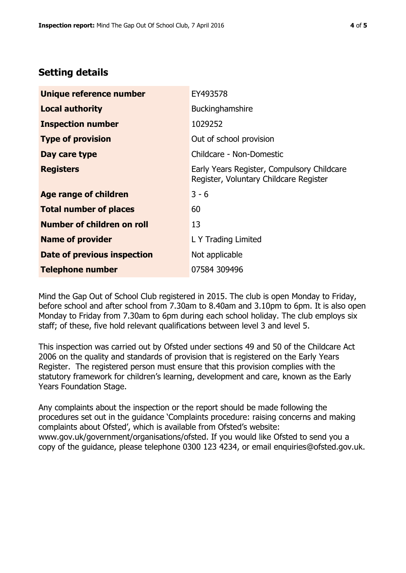# **Setting details**

| Unique reference number       | EY493578                                                                             |  |
|-------------------------------|--------------------------------------------------------------------------------------|--|
| <b>Local authority</b>        | Buckinghamshire                                                                      |  |
| <b>Inspection number</b>      | 1029252                                                                              |  |
| <b>Type of provision</b>      | Out of school provision                                                              |  |
| Day care type                 | Childcare - Non-Domestic                                                             |  |
| <b>Registers</b>              | Early Years Register, Compulsory Childcare<br>Register, Voluntary Childcare Register |  |
| <b>Age range of children</b>  | $3 - 6$                                                                              |  |
| <b>Total number of places</b> | 60                                                                                   |  |
| Number of children on roll    | 13                                                                                   |  |
| <b>Name of provider</b>       | L Y Trading Limited                                                                  |  |
| Date of previous inspection   | Not applicable                                                                       |  |
| <b>Telephone number</b>       | 07584 309496                                                                         |  |

Mind the Gap Out of School Club registered in 2015. The club is open Monday to Friday, before school and after school from 7.30am to 8.40am and 3.10pm to 6pm. It is also open Monday to Friday from 7.30am to 6pm during each school holiday. The club employs six staff; of these, five hold relevant qualifications between level 3 and level 5.

This inspection was carried out by Ofsted under sections 49 and 50 of the Childcare Act 2006 on the quality and standards of provision that is registered on the Early Years Register. The registered person must ensure that this provision complies with the statutory framework for children's learning, development and care, known as the Early Years Foundation Stage.

Any complaints about the inspection or the report should be made following the procedures set out in the guidance 'Complaints procedure: raising concerns and making complaints about Ofsted', which is available from Ofsted's website: www.gov.uk/government/organisations/ofsted. If you would like Ofsted to send you a copy of the guidance, please telephone 0300 123 4234, or email enquiries@ofsted.gov.uk.